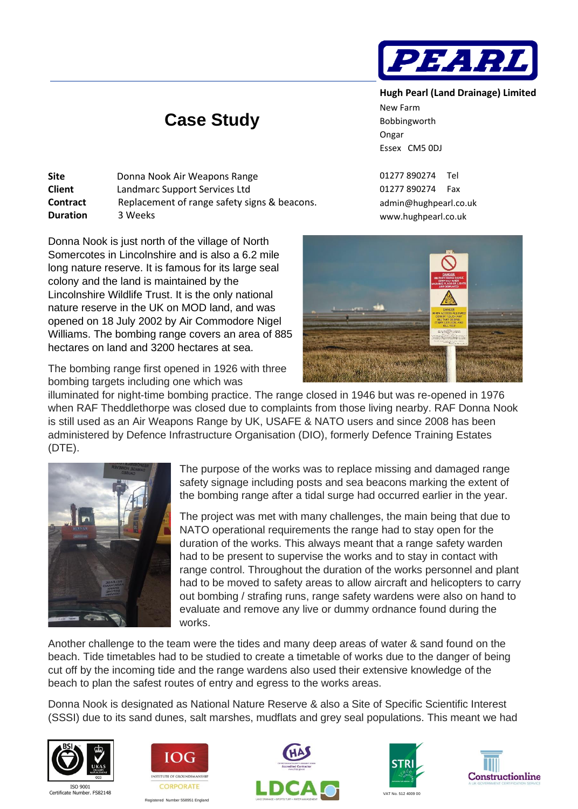

## **Hugh Pearl (Land Drainage) Limited**

New Farm Bobbingworth Ongar Essex CM5 0DJ

01277 890274 Tel 01277 890274 Fax [admin@hughpearl.co.uk](mailto:admin@hughpearl.co.uk) www.hughpearl.co.uk



The bombing range first opened in 1926 with three bombing targets including one which was illuminated for night-time bombing practice. The range closed in 1946 but was re-opened in 1976 when RAF Theddlethorpe was closed due to complaints from those living nearby. RAF Donna Nook is still used as an Air Weapons Range by UK, USAFE & NATO users and since 2008 has been administered by Defence Infrastructure Organisation (DIO), formerly Defence Training Estates (DTE).

 **Case Study**

**Site** Donna Nook Air Weapons Range **Client** Landmarc Support Services Ltd

[Donna Nook](https://en.wikipedia.org/wiki/Donna_Nook) is just north of the village of [North](https://en.wikipedia.org/wiki/North_Somercotes)  [Somercotes](https://en.wikipedia.org/wiki/North_Somercotes) in Lincolnshire and is also a 6.2 mile long nature reserve. It is famous for its large [seal](https://en.wikipedia.org/wiki/Grey_seal)

[Lincolnshire Wildlife Trust.](https://en.wikipedia.org/wiki/Lincolnshire_Wildlife_Trust) It is the only [national](https://en.wikipedia.org/wiki/National_nature_reserve_(United_Kingdom))  [nature reserve](https://en.wikipedia.org/wiki/National_nature_reserve_(United_Kingdom)) in the UK on [MOD](https://en.wikipedia.org/wiki/Ministry_of_Defence_(United_Kingdom)) land, and was opened on 18 July 2002 by [Air Commodore](https://en.wikipedia.org/wiki/Air_Commodore) Nigel Williams. The bombing range covers an area of 885

colony and the land is maintained by the

hectares on land and 3200 hectares at sea.

**Duration** 3 Weeks

**Contract** Replacement of range safety signs & beacons.



The purpose of the works was to replace missing and damaged range safety signage including posts and sea beacons marking the extent of the bombing range after a tidal surge had occurred earlier in the year.

The project was met with many challenges, the main being that due to NATO operational requirements the range had to stay open for the duration of the works. This always meant that a range safety warden had to be present to supervise the works and to stay in contact with range control. Throughout the duration of the works personnel and plant had to be moved to safety areas to allow aircraft and helicopters to carry out bombing / strafing runs, range safety wardens were also on hand to evaluate and remove any live or dummy ordnance found during the works.

Another challenge to the team were the tides and many deep areas of water & sand found on the beach. Tide timetables had to be studied to create a timetable of works due to the danger of being cut off by the incoming tide and the range wardens also used their extensive knowledge of the beach to plan the safest routes of entry and egress to the works areas.

Donna Nook is designated as National Nature Reserve & also a Site of Specific Scientific Interest (SSSI) due to its sand dunes, salt marshes, mudflats and grey seal populations. This meant we had